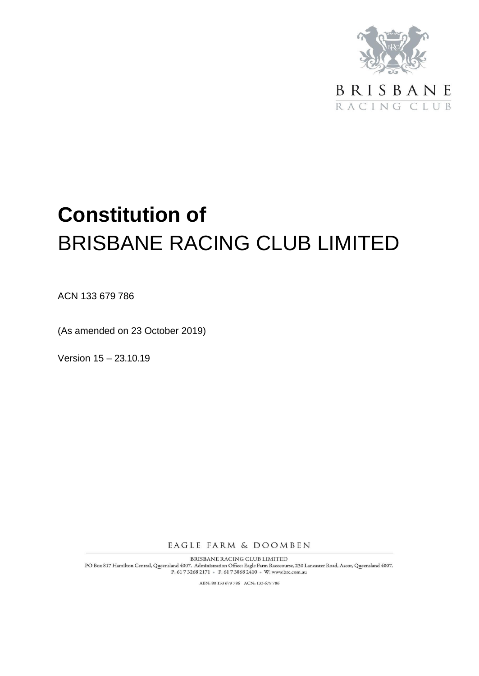

RACING CLUB

# **Constitution of** BRISBANE RACING CLUB LIMITED

ACN 133 679 786

(As amended on 23 October 2019)

Version 15 – 23.10.19

EAGLE FARM & DOOMBEN

BRISBANE RACING CLUB LIMITED PO Box 817 Hamilton Central, Queensland 4007. Administration Office: Eagle Farm Racecourse, 230 Lancaster Road, Ascot, Queensland 4007.  $\rm P\!:\!617\,3268\,2171$   $\bullet\,$   $\rm F\!:\!617\,3868\,2410$   $\bullet\,$  W: www.brc.com.au

ABN: 80 133 679 786 ACN: 133 679 786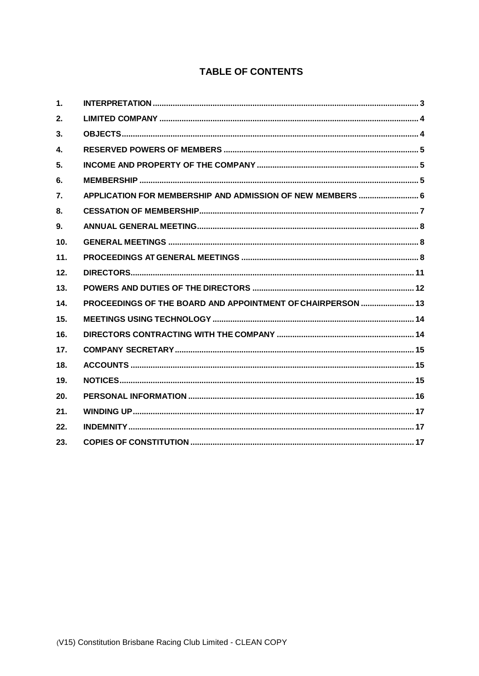# **TABLE OF CONTENTS**

| $\mathbf{1}$ . |                                                             |
|----------------|-------------------------------------------------------------|
| 2.             |                                                             |
| 3.             |                                                             |
| $\mathbf{4}$   |                                                             |
| 5.             |                                                             |
| 6.             |                                                             |
| 7.             |                                                             |
| 8.             |                                                             |
| 9.             |                                                             |
| 10.            |                                                             |
| 11.            |                                                             |
| 12.            |                                                             |
| 13.            |                                                             |
| 14.            | PROCEEDINGS OF THE BOARD AND APPOINTMENT OF CHAIRPERSON  13 |
| 15.            |                                                             |
| 16.            |                                                             |
| 17.            |                                                             |
| 18.            |                                                             |
| 19.            |                                                             |
| 20.            |                                                             |
| 21.            |                                                             |
| 22.            |                                                             |
| 23.            |                                                             |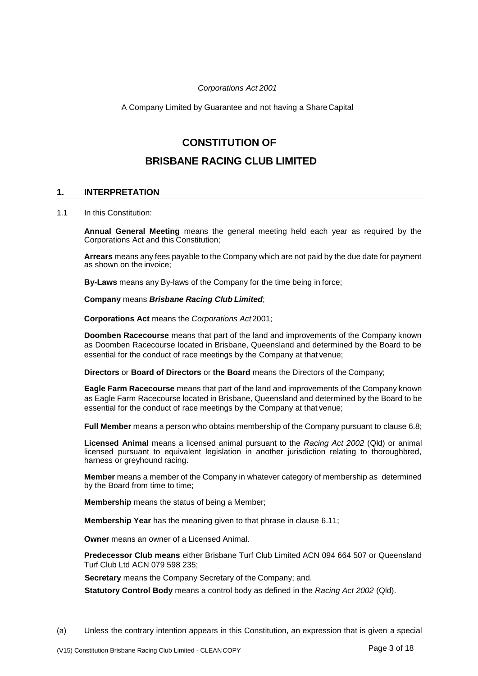#### *Corporations Act 2001*

A Company Limited by Guarantee and not having a ShareCapital

# **CONSTITUTION OF**

# **BRISBANE RACING CLUB LIMITED**

# <span id="page-2-0"></span>**1. INTERPRETATION**

1.1 In this Constitution:

**Annual General Meeting** means the general meeting held each year as required by the Corporations Act and this Constitution;

**Arrears** means any fees payable to the Company which are not paid by the due date for payment as shown on the invoice;

**By-Laws** means any By-laws of the Company for the time being in force;

**Company** means *Brisbane Racing Club Limited*;

**Corporations Act** means the *Corporations Act*2001;

**Doomben Racecourse** means that part of the land and improvements of the Company known as Doomben Racecourse located in Brisbane, Queensland and determined by the Board to be essential for the conduct of race meetings by the Company at that venue;

**Directors** or **Board of Directors** or **the Board** means the Directors of the Company;

**Eagle Farm Racecourse** means that part of the land and improvements of the Company known as Eagle Farm Racecourse located in Brisbane, Queensland and determined by the Board to be essential for the conduct of race meetings by the Company at that venue;

**Full Member** means a person who obtains membership of the Company pursuant to clause [6.8;](#page-5-1)

**Licensed Animal** means a licensed animal pursuant to the *Racing Act 2002* (Qld) or animal licensed pursuant to equivalent legislation in another jurisdiction relating to thoroughbred, harness or greyhound racing.

**Member** means a member of the Company in whatever category of membership as determined by the Board from time to time;

**Membership** means the status of being a Member;

**Membership Year** has the meaning given to that phrase in clause [6.11;](#page-5-2)

**Owner** means an owner of a Licensed Animal.

**Predecessor Club means** either Brisbane Turf Club Limited ACN 094 664 507 or Queensland Turf Club Ltd ACN 079 598 235;

**Secretary** means the Company Secretary of the Company; and.

**Statutory Control Body** means a control body as defined in the *Racing Act 2002* (Qld).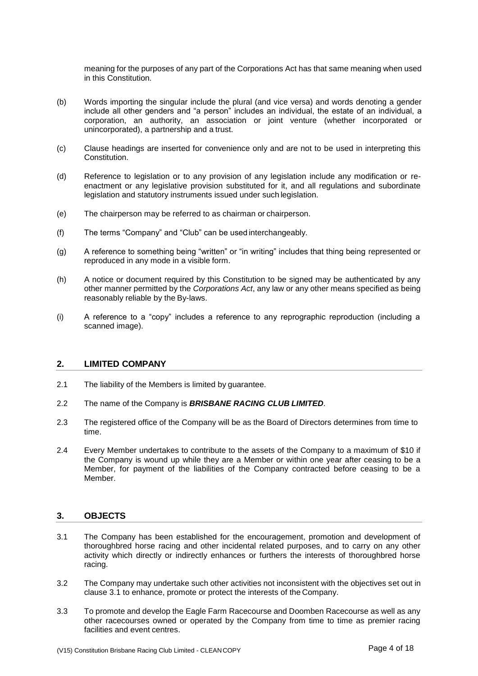meaning for the purposes of any part of the Corporations Act has that same meaning when used in this Constitution.

- (b) Words importing the singular include the plural (and vice versa) and words denoting a gender include all other genders and "a person" includes an individual, the estate of an individual, a corporation, an authority, an association or joint venture (whether incorporated or unincorporated), a partnership and a trust.
- (c) Clause headings are inserted for convenience only and are not to be used in interpreting this Constitution.
- (d) Reference to legislation or to any provision of any legislation include any modification or reenactment or any legislative provision substituted for it, and all regulations and subordinate legislation and statutory instruments issued under such legislation.
- (e) The chairperson may be referred to as chairman or chairperson.
- (f) The terms "Company" and "Club" can be used interchangeably.
- (g) A reference to something being "written" or "in writing" includes that thing being represented or reproduced in any mode in a visible form.
- (h) A notice or document required by this Constitution to be signed may be authenticated by any other manner permitted by the *Corporations Act*, any law or any other means specified as being reasonably reliable by the By-laws.
- (i) A reference to a "copy" includes a reference to any reprographic reproduction (including a scanned image).

#### <span id="page-3-0"></span>**2. LIMITED COMPANY**

- 2.1 The liability of the Members is limited by guarantee.
- 2.2 The name of the Company is *BRISBANE RACING CLUB LIMITED*.
- 2.3 The registered office of the Company will be as the Board of Directors determines from time to time.
- 2.4 Every Member undertakes to contribute to the assets of the Company to a maximum of \$10 if the Company is wound up while they are a Member or within one year after ceasing to be a Member, for payment of the liabilities of the Company contracted before ceasing to be a Member.

# <span id="page-3-1"></span>**3. OBJECTS**

- <span id="page-3-2"></span>3.1 The Company has been established for the encouragement, promotion and development of thoroughbred horse racing and other incidental related purposes, and to carry on any other activity which directly or indirectly enhances or furthers the interests of thoroughbred horse racing.
- 3.2 The Company may undertake such other activities not inconsistent with the objectives set out in clause [3.1](#page-3-2) to enhance, promote or protect the interests of the Company.
- 3.3 To promote and develop the Eagle Farm Racecourse and Doomben Racecourse as well as any other racecourses owned or operated by the Company from time to time as premier racing facilities and event centres.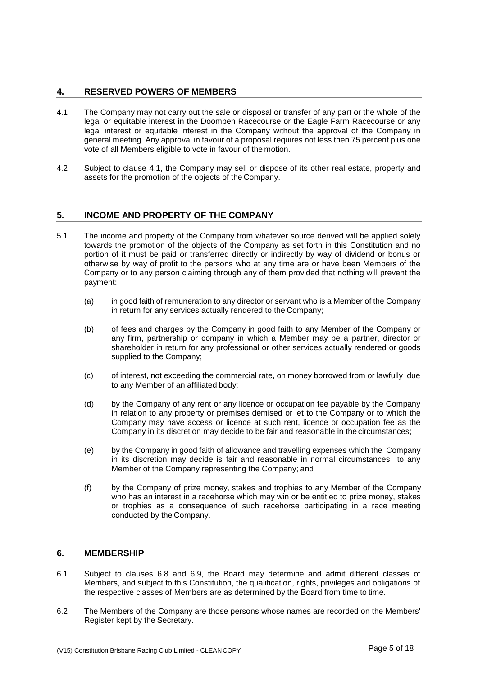# <span id="page-4-0"></span>**4. RESERVED POWERS OF MEMBERS**

- <span id="page-4-3"></span>4.1 The Company may not carry out the sale or disposal or transfer of any part or the whole of the legal or equitable interest in the Doomben Racecourse or the Eagle Farm Racecourse or any legal interest or equitable interest in the Company without the approval of the Company in general meeting. Any approval in favour of a proposal requires not less then 75 percent plus one vote of all Members eligible to vote in favour of the motion.
- 4.2 Subject to clause [4.1,](#page-4-3) the Company may sell or dispose of its other real estate, property and assets for the promotion of the objects of the Company.

# <span id="page-4-1"></span>**5. INCOME AND PROPERTY OF THE COMPANY**

- 5.1 The income and property of the Company from whatever source derived will be applied solely towards the promotion of the objects of the Company as set forth in this Constitution and no portion of it must be paid or transferred directly or indirectly by way of dividend or bonus or otherwise by way of profit to the persons who at any time are or have been Members of the Company or to any person claiming through any of them provided that nothing will prevent the payment:
	- (a) in good faith of remuneration to any director or servant who is a Member of the Company in return for any services actually rendered to the Company;
	- (b) of fees and charges by the Company in good faith to any Member of the Company or any firm, partnership or company in which a Member may be a partner, director or shareholder in return for any professional or other services actually rendered or goods supplied to the Company;
	- (c) of interest, not exceeding the commercial rate, on money borrowed from or lawfully due to any Member of an affiliated body;
	- (d) by the Company of any rent or any licence or occupation fee payable by the Company in relation to any property or premises demised or let to the Company or to which the Company may have access or licence at such rent, licence or occupation fee as the Company in its discretion may decide to be fair and reasonable in the circumstances;
	- (e) by the Company in good faith of allowance and travelling expenses which the Company in its discretion may decide is fair and reasonable in normal circumstances to any Member of the Company representing the Company; and
	- (f) by the Company of prize money, stakes and trophies to any Member of the Company who has an interest in a racehorse which may win or be entitled to prize money, stakes or trophies as a consequence of such racehorse participating in a race meeting conducted by the Company.

# <span id="page-4-2"></span>**6. MEMBERSHIP**

- 6.1 Subject to clauses [6.8](#page-5-1) and [6.9,](#page-5-3) the Board may determine and admit different classes of Members, and subject to this Constitution, the qualification, rights, privileges and obligations of the respective classes of Members are as determined by the Board from time to time.
- 6.2 The Members of the Company are those persons whose names are recorded on the Members' Register kept by the Secretary.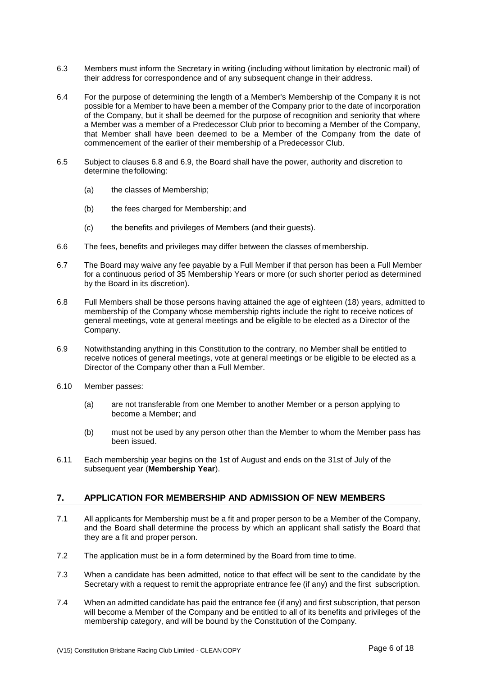- 6.3 Members must inform the Secretary in writing (including without limitation by electronic mail) of their address for correspondence and of any subsequent change in their address.
- 6.4 For the purpose of determining the length of a Member's Membership of the Company it is not possible for a Member to have been a member of the Company prior to the date of incorporation of the Company, but it shall be deemed for the purpose of recognition and seniority that where a Member was a member of a Predecessor Club prior to becoming a Member of the Company, that Member shall have been deemed to be a Member of the Company from the date of commencement of the earlier of their membership of a Predecessor Club.
- 6.5 Subject to clauses [6.8](#page-5-1) and [6.9,](#page-5-3) the Board shall have the power, authority and discretion to determine thefollowing:
	- (a) the classes of Membership;
	- (b) the fees charged for Membership; and
	- (c) the benefits and privileges of Members (and their guests).
- 6.6 The fees, benefits and privileges may differ between the classes of membership.
- 6.7 The Board may waive any fee payable by a Full Member if that person has been a Full Member for a continuous period of 35 Membership Years or more (or such shorter period as determined by the Board in its discretion).
- <span id="page-5-1"></span>6.8 Full Members shall be those persons having attained the age of eighteen (18) years, admitted to membership of the Company whose membership rights include the right to receive notices of general meetings, vote at general meetings and be eligible to be elected as a Director of the Company.
- <span id="page-5-3"></span>6.9 Notwithstanding anything in this Constitution to the contrary, no Member shall be entitled to receive notices of general meetings, vote at general meetings or be eligible to be elected as a Director of the Company other than a Full Member.
- 6.10 Member passes:
	- (a) are not transferable from one Member to another Member or a person applying to become a Member; and
	- (b) must not be used by any person other than the Member to whom the Member pass has been issued.
- <span id="page-5-2"></span>6.11 Each membership year begins on the 1st of August and ends on the 31st of July of the subsequent year (**Membership Year**).

#### <span id="page-5-0"></span>**7. APPLICATION FOR MEMBERSHIP AND ADMISSION OF NEW MEMBERS**

- 7.1 All applicants for Membership must be a fit and proper person to be a Member of the Company, and the Board shall determine the process by which an applicant shall satisfy the Board that they are a fit and proper person.
- 7.2 The application must be in a form determined by the Board from time to time.
- 7.3 When a candidate has been admitted, notice to that effect will be sent to the candidate by the Secretary with a request to remit the appropriate entrance fee (if any) and the first subscription.
- 7.4 When an admitted candidate has paid the entrance fee (if any) and first subscription, that person will become a Member of the Company and be entitled to all of its benefits and privileges of the membership category, and will be bound by the Constitution of the Company.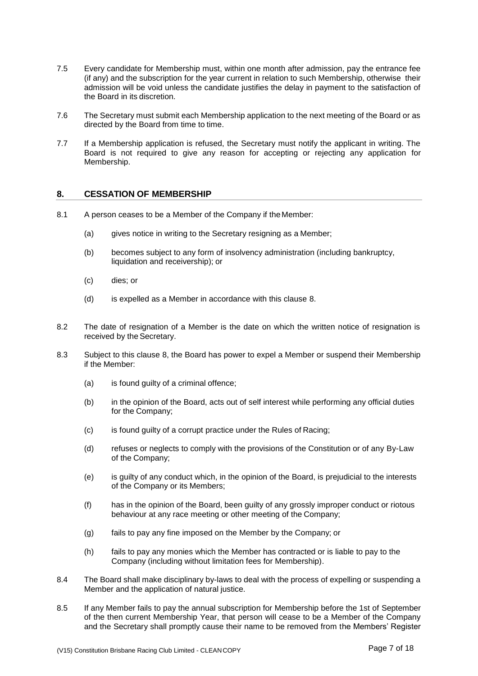- 7.5 Every candidate for Membership must, within one month after admission, pay the entrance fee (if any) and the subscription for the year current in relation to such Membership, otherwise their admission will be void unless the candidate justifies the delay in payment to the satisfaction of the Board in its discretion.
- 7.6 The Secretary must submit each Membership application to the next meeting of the Board or as directed by the Board from time to time.
- 7.7 If a Membership application is refused, the Secretary must notify the applicant in writing. The Board is not required to give any reason for accepting or rejecting any application for Membership.

# <span id="page-6-0"></span>**8. CESSATION OF MEMBERSHIP**

- 8.1 A person ceases to be a Member of the Company if the Member:
	- (a) gives notice in writing to the Secretary resigning as a Member;
	- (b) becomes subject to any form of insolvency administration (including bankruptcy, liquidation and receivership); or
	- (c) dies; or
	- (d) is expelled as a Member in accordance with this clause [8.](#page-6-0)
- 8.2 The date of resignation of a Member is the date on which the written notice of resignation is received by the Secretary.
- 8.3 Subject to this clause [8,](#page-6-0) the Board has power to expel a Member or suspend their Membership if the Member:
	- (a) is found guilty of a criminal offence;
	- (b) in the opinion of the Board, acts out of self interest while performing any official duties for the Company;
	- (c) is found guilty of a corrupt practice under the Rules of Racing;
	- (d) refuses or neglects to comply with the provisions of the Constitution or of any By-Law of the Company;
	- (e) is guilty of any conduct which, in the opinion of the Board, is prejudicial to the interests of the Company or its Members;
	- (f) has in the opinion of the Board, been guilty of any grossly improper conduct or riotous behaviour at any race meeting or other meeting of the Company;
	- (g) fails to pay any fine imposed on the Member by the Company; or
	- (h) fails to pay any monies which the Member has contracted or is liable to pay to the Company (including without limitation fees for Membership).
- 8.4 The Board shall make disciplinary by-laws to deal with the process of expelling or suspending a Member and the application of natural justice.
- 8.5 If any Member fails to pay the annual subscription for Membership before the 1st of September of the then current Membership Year, that person will cease to be a Member of the Company and the Secretary shall promptly cause their name to be removed from the Members' Register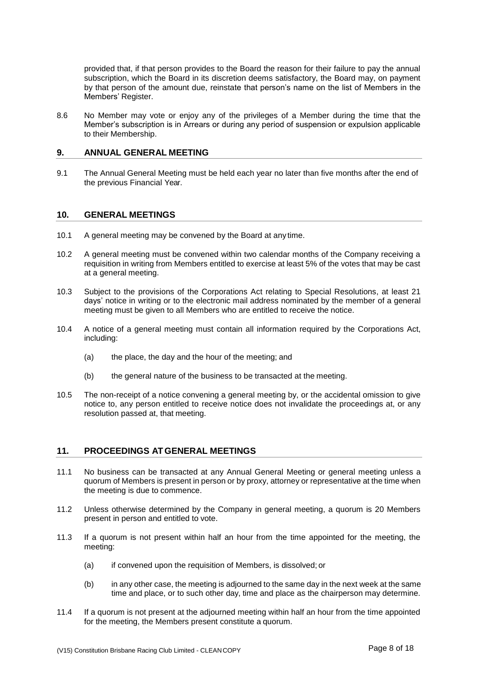provided that, if that person provides to the Board the reason for their failure to pay the annual subscription, which the Board in its discretion deems satisfactory, the Board may, on payment by that person of the amount due, reinstate that person's name on the list of Members in the Members' Register.

8.6 No Member may vote or enjoy any of the privileges of a Member during the time that the Member's subscription is in Arrears or during any period of suspension or expulsion applicable to their Membership.

## <span id="page-7-0"></span>**9. ANNUAL GENERAL MEETING**

9.1 The Annual General Meeting must be held each year no later than five months after the end of the previous Financial Year.

#### <span id="page-7-1"></span>**10. GENERAL MEETINGS**

- 10.1 A general meeting may be convened by the Board at any time.
- 10.2 A general meeting must be convened within two calendar months of the Company receiving a requisition in writing from Members entitled to exercise at least 5% of the votes that may be cast at a general meeting.
- 10.3 Subject to the provisions of the Corporations Act relating to Special Resolutions, at least 21 days' notice in writing or to the electronic mail address nominated by the member of a general meeting must be given to all Members who are entitled to receive the notice.
- 10.4 A notice of a general meeting must contain all information required by the Corporations Act, including:
	- (a) the place, the day and the hour of the meeting; and
	- (b) the general nature of the business to be transacted at the meeting.
- 10.5 The non-receipt of a notice convening a general meeting by, or the accidental omission to give notice to, any person entitled to receive notice does not invalidate the proceedings at, or any resolution passed at, that meeting.

#### <span id="page-7-2"></span>**11. PROCEEDINGS AT GENERAL MEETINGS**

- 11.1 No business can be transacted at any Annual General Meeting or general meeting unless a quorum of Members is present in person or by proxy, attorney or representative at the time when the meeting is due to commence.
- 11.2 Unless otherwise determined by the Company in general meeting, a quorum is 20 Members present in person and entitled to vote.
- 11.3 If a quorum is not present within half an hour from the time appointed for the meeting, the meeting:
	- (a) if convened upon the requisition of Members, is dissolved; or
	- (b) in any other case, the meeting is adjourned to the same day in the next week at the same time and place, or to such other day, time and place as the chairperson may determine.
- 11.4 If a quorum is not present at the adjourned meeting within half an hour from the time appointed for the meeting, the Members present constitute a quorum.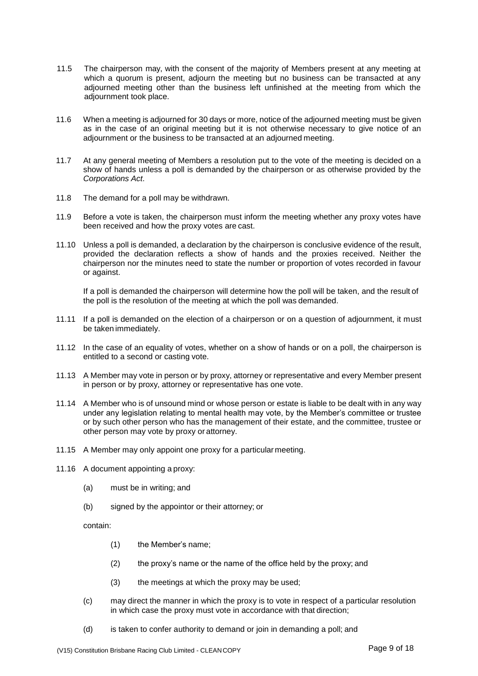- 11.5 The chairperson may, with the consent of the majority of Members present at any meeting at which a quorum is present, adjourn the meeting but no business can be transacted at any adjourned meeting other than the business left unfinished at the meeting from which the adjournment took place.
- 11.6 When a meeting is adjourned for 30 days or more, notice of the adjourned meeting must be given as in the case of an original meeting but it is not otherwise necessary to give notice of an adjournment or the business to be transacted at an adjourned meeting.
- 11.7 At any general meeting of Members a resolution put to the vote of the meeting is decided on a show of hands unless a poll is demanded by the chairperson or as otherwise provided by the *Corporations Act*.
- 11.8 The demand for a poll may be withdrawn.
- 11.9 Before a vote is taken, the chairperson must inform the meeting whether any proxy votes have been received and how the proxy votes are cast.
- 11.10 Unless a poll is demanded, a declaration by the chairperson is conclusive evidence of the result, provided the declaration reflects a show of hands and the proxies received. Neither the chairperson nor the minutes need to state the number or proportion of votes recorded in favour or against.

If a poll is demanded the chairperson will determine how the poll will be taken, and the result of the poll is the resolution of the meeting at which the poll was demanded.

- 11.11 If a poll is demanded on the election of a chairperson or on a question of adjournment, it must be taken immediately.
- 11.12 In the case of an equality of votes, whether on a show of hands or on a poll, the chairperson is entitled to a second or casting vote.
- 11.13 A Member may vote in person or by proxy, attorney or representative and every Member present in person or by proxy, attorney or representative has one vote.
- 11.14 A Member who is of unsound mind or whose person or estate is liable to be dealt with in any way under any legislation relating to mental health may vote, by the Member's committee or trustee or by such other person who has the management of their estate, and the committee, trustee or other person may vote by proxy or attorney.
- 11.15 A Member may only appoint one proxy for a particularmeeting.
- 11.16 A document appointing a proxy:
	- (a) must be in writing; and
	- (b) signed by the appointor or their attorney; or

contain:

- (1) the Member's name;
- (2) the proxy's name or the name of the office held by the proxy; and
- (3) the meetings at which the proxy may be used;
- (c) may direct the manner in which the proxy is to vote in respect of a particular resolution in which case the proxy must vote in accordance with that direction;
- (d) is taken to confer authority to demand or join in demanding a poll; and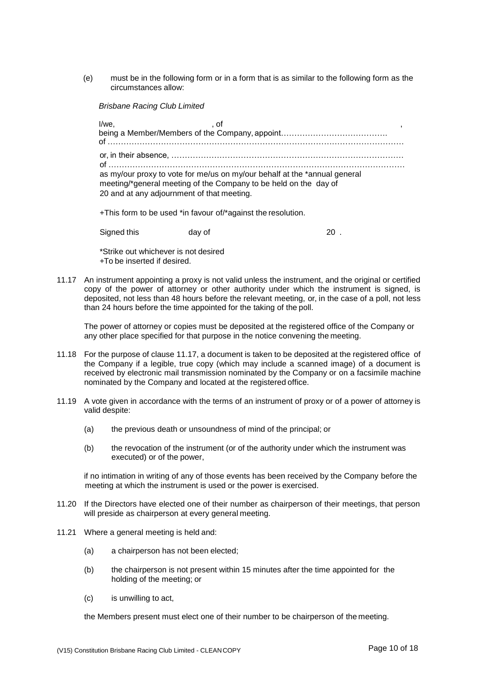(e) must be in the following form or in a form that is as similar to the following form as the circumstances allow:

*Brisbane Racing Club Limited*

| I/we.                                      | ot .                                                                                                                                          |  |
|--------------------------------------------|-----------------------------------------------------------------------------------------------------------------------------------------------|--|
| 20 and at any adjournment of that meeting. | as my/our proxy to vote for me/us on my/our behalf at the *annual general<br>meeting/*general meeting of the Company to be held on the day of |  |

+This form to be used \*in favour of/\*against the resolution.

| Signed this | day of | 20 |
|-------------|--------|----|
|             |        |    |

\*Strike out whichever is not desired +To be inserted if desired.

<span id="page-9-0"></span>11.17 An instrument appointing a proxy is not valid unless the instrument, and the original or certified copy of the power of attorney or other authority under which the instrument is signed, is deposited, not less than 48 hours before the relevant meeting, or, in the case of a poll, not less than 24 hours before the time appointed for the taking of the poll.

The power of attorney or copies must be deposited at the registered office of the Company or any other place specified for that purpose in the notice convening the meeting.

- 11.18 For the purpose of clause [11.17,](#page-9-0) a document is taken to be deposited at the registered office of the Company if a legible, true copy (which may include a scanned image) of a document is received by electronic mail transmission nominated by the Company or on a facsimile machine nominated by the Company and located at the registered office.
- 11.19 A vote given in accordance with the terms of an instrument of proxy or of a power of attorney is valid despite:
	- (a) the previous death or unsoundness of mind of the principal; or
	- (b) the revocation of the instrument (or of the authority under which the instrument was executed) or of the power,

if no intimation in writing of any of those events has been received by the Company before the meeting at which the instrument is used or the power is exercised.

- 11.20 If the Directors have elected one of their number as chairperson of their meetings, that person will preside as chairperson at every general meeting.
- 11.21 Where a general meeting is held and:
	- (a) a chairperson has not been elected;
	- (b) the chairperson is not present within 15 minutes after the time appointed for the holding of the meeting; or
	- (c) is unwilling to act,

the Members present must elect one of their number to be chairperson of the meeting.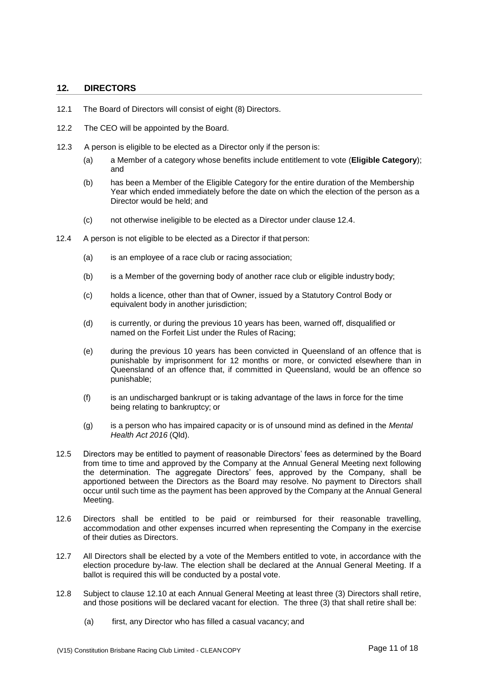# <span id="page-10-0"></span>**12. DIRECTORS**

- 12.1 The Board of Directors will consist of eight (8) Directors.
- 12.2 The CEO will be appointed by the Board.
- 12.3 A person is eligible to be elected as a Director only if the person is:
	- (a) a Member of a category whose benefits include entitlement to vote (**Eligible Category**); and
	- (b) has been a Member of the Eligible Category for the entire duration of the Membership Year which ended immediately before the date on which the election of the person as a Director would be held; and
	- (c) not otherwise ineligible to be elected as a Director under clause [12.4.](#page-10-1)
- <span id="page-10-1"></span>12.4 A person is not eligible to be elected as a Director if that person:
	- (a) is an employee of a race club or racing association;
	- (b) is a Member of the governing body of another race club or eligible industry body;
	- (c) holds a licence, other than that of Owner, issued by a Statutory Control Body or equivalent body in another jurisdiction;
	- (d) is currently, or during the previous 10 years has been, warned off, disqualified or named on the Forfeit List under the Rules of Racing;
	- (e) during the previous 10 years has been convicted in Queensland of an offence that is punishable by imprisonment for 12 months or more, or convicted elsewhere than in Queensland of an offence that, if committed in Queensland, would be an offence so punishable;
	- (f) is an undischarged bankrupt or is taking advantage of the laws in force for the time being relating to bankruptcy; or
	- (g) is a person who has impaired capacity or is of unsound mind as defined in the *Mental Health Act 2016* (Qld).
- 12.5 Directors may be entitled to payment of reasonable Directors' fees as determined by the Board from time to time and approved by the Company at the Annual General Meeting next following the determination. The aggregate Directors' fees, approved by the Company, shall be apportioned between the Directors as the Board may resolve. No payment to Directors shall occur until such time as the payment has been approved by the Company at the Annual General Meeting.
- 12.6 Directors shall be entitled to be paid or reimbursed for their reasonable travelling, accommodation and other expenses incurred when representing the Company in the exercise of their duties as Directors.
- 12.7 All Directors shall be elected by a vote of the Members entitled to vote, in accordance with the election procedure by-law. The election shall be declared at the Annual General Meeting. If a ballot is required this will be conducted by a postal vote.
- 12.8 Subject to clause [12.10](#page-11-1) at each Annual General Meeting at least three (3) Directors shall retire, and those positions will be declared vacant for election. The three (3) that shall retire shall be:
	- (a) first, any Director who has filled a casual vacancy; and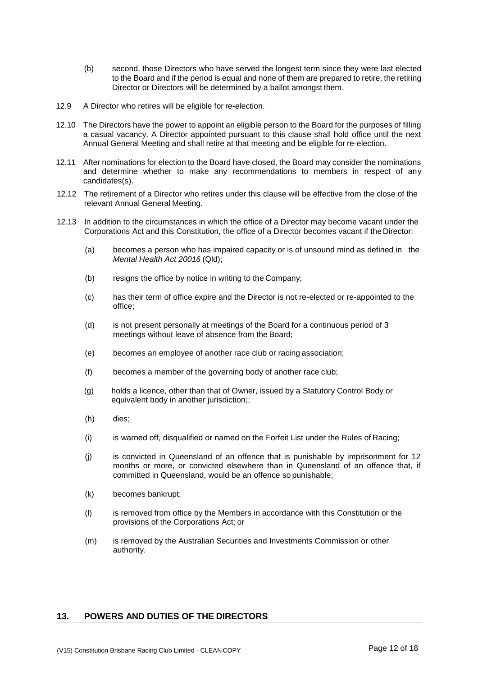- (b) second, those Directors who have served the longest term since they were last elected to the Board and if the period is equal and none of them are prepared to retire, the retiring Director or Directors will be determined by a ballot amongst them.
- 12.9 A Director who retires will be eligible for re-election.
- <span id="page-11-1"></span>12.10 The Directors have the power to appoint an eligible person to the Board for the purposes of filling a casual vacancy. A Director appointed pursuant to this clause shall hold office until the next Annual General Meeting and shall retire at that meeting and be eligible for re-election.
- 12.11 After nominations for election to the Board have closed, the Board may consider the nominations and determine whether to make any recommendations to members in respect of any candidates(s).
- 12.12 The retirement of a Director who retires under this clause will be effective from the close of the relevant Annual General Meeting.
- 12.13 In addition to the circumstances in which the office of a Director may become vacant under the Corporations Act and this Constitution, the office of a Director becomes vacant if the Director:
	- (a) becomes a person who has impaired capacity or is of unsound mind as defined in the *Mental Health Act 20016* (Qld);
	- (b) resigns the office by notice in writing to the Company;
	- (c) has their term of office expire and the Director is not re-elected or re-appointed to the office;
	- (d) is not present personally at meetings of the Board for a continuous period of 3 meetings without leave of absence from the Board;
	- (e) becomes an employee of another race club or racing association;
	- (f) becomes a member of the governing body of another race club;
	- (g) holds a licence, other than that of Owner, issued by a Statutory Control Body or equivalent body in another jurisdiction;;
	- (h) dies;
	- (i) is warned off, disqualified or named on the Forfeit List under the Rules of Racing;
	- (j) is convicted in Queensland of an offence that is punishable by imprisonment for 12 months or more, or convicted elsewhere than in Queensland of an offence that, if committed in Queensland, would be an offence so punishable;
	- (k) becomes bankrupt;
	- (l) is removed from office by the Members in accordance with this Constitution or the provisions of the Corporations Act; or
	- (m) is removed by the Australian Securities and Investments Commission or other authority.

# <span id="page-11-0"></span>**13. POWERS AND DUTIES OF THE DIRECTORS**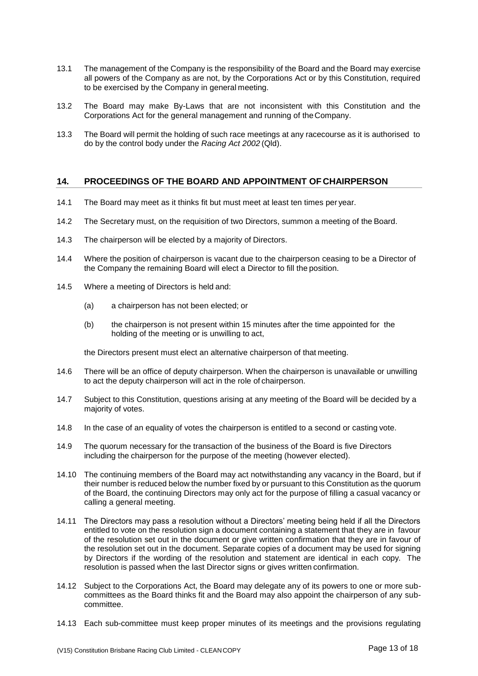- 13.1 The management of the Company is the responsibility of the Board and the Board may exercise all powers of the Company as are not, by the Corporations Act or by this Constitution, required to be exercised by the Company in general meeting.
- 13.2 The Board may make By-Laws that are not inconsistent with this Constitution and the Corporations Act for the general management and running of theCompany.
- 13.3 The Board will permit the holding of such race meetings at any racecourse as it is authorised to do by the control body under the *Racing Act 2002* (Qld).

# <span id="page-12-0"></span>**14. PROCEEDINGS OF THE BOARD AND APPOINTMENT OF CHAIRPERSON**

- 14.1 The Board may meet as it thinks fit but must meet at least ten times per year.
- 14.2 The Secretary must, on the requisition of two Directors, summon a meeting of the Board.
- 14.3 The chairperson will be elected by a majority of Directors.
- 14.4 Where the position of chairperson is vacant due to the chairperson ceasing to be a Director of the Company the remaining Board will elect a Director to fill the position.
- 14.5 Where a meeting of Directors is held and:
	- (a) a chairperson has not been elected; or
	- (b) the chairperson is not present within 15 minutes after the time appointed for the holding of the meeting or is unwilling to act,

the Directors present must elect an alternative chairperson of that meeting.

- 14.6 There will be an office of deputy chairperson. When the chairperson is unavailable or unwilling to act the deputy chairperson will act in the role of chairperson.
- 14.7 Subject to this Constitution, questions arising at any meeting of the Board will be decided by a majority of votes.
- 14.8 In the case of an equality of votes the chairperson is entitled to a second or casting vote.
- 14.9 The quorum necessary for the transaction of the business of the Board is five Directors including the chairperson for the purpose of the meeting (however elected).
- 14.10 The continuing members of the Board may act notwithstanding any vacancy in the Board, but if their number is reduced below the number fixed by or pursuant to this Constitution as the quorum of the Board, the continuing Directors may only act for the purpose of filling a casual vacancy or calling a general meeting.
- 14.11 The Directors may pass a resolution without a Directors' meeting being held if all the Directors entitled to vote on the resolution sign a document containing a statement that they are in favour of the resolution set out in the document or give written confirmation that they are in favour of the resolution set out in the document. Separate copies of a document may be used for signing by Directors if the wording of the resolution and statement are identical in each copy. The resolution is passed when the last Director signs or gives written confirmation.
- 14.12 Subject to the Corporations Act, the Board may delegate any of its powers to one or more subcommittees as the Board thinks fit and the Board may also appoint the chairperson of any subcommittee.
- 14.13 Each sub-committee must keep proper minutes of its meetings and the provisions regulating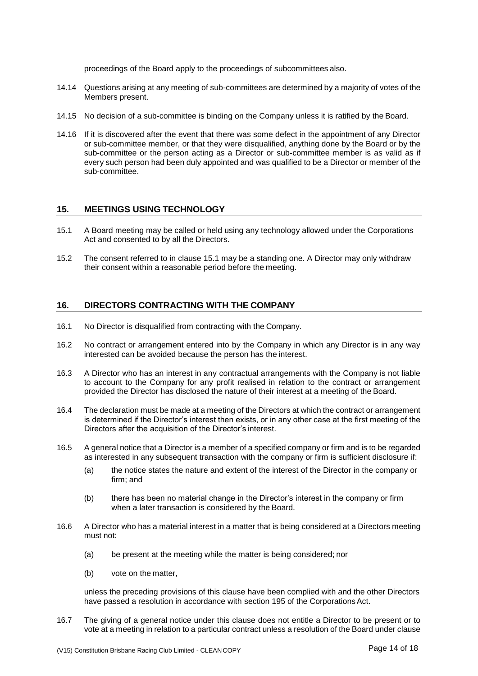proceedings of the Board apply to the proceedings of subcommittees also.

- 14.14 Questions arising at any meeting of sub-committees are determined by a majority of votes of the Members present.
- 14.15 No decision of a sub-committee is binding on the Company unless it is ratified by the Board.
- 14.16 If it is discovered after the event that there was some defect in the appointment of any Director or sub-committee member, or that they were disqualified, anything done by the Board or by the sub-committee or the person acting as a Director or sub-committee member is as valid as if every such person had been duly appointed and was qualified to be a Director or member of the sub-committee.

# <span id="page-13-0"></span>**15. MEETINGS USING TECHNOLOGY**

- <span id="page-13-2"></span>15.1 A Board meeting may be called or held using any technology allowed under the Corporations Act and consented to by all the Directors.
- 15.2 The consent referred to in clause [15.1](#page-13-2) may be a standing one. A Director may only withdraw their consent within a reasonable period before the meeting.

# <span id="page-13-1"></span>**16. DIRECTORS CONTRACTING WITH THE COMPANY**

- 16.1 No Director is disqualified from contracting with the Company.
- 16.2 No contract or arrangement entered into by the Company in which any Director is in any way interested can be avoided because the person has the interest.
- 16.3 A Director who has an interest in any contractual arrangements with the Company is not liable to account to the Company for any profit realised in relation to the contract or arrangement provided the Director has disclosed the nature of their interest at a meeting of the Board.
- 16.4 The declaration must be made at a meeting of the Directors at which the contract or arrangement is determined if the Director's interest then exists, or in any other case at the first meeting of the Directors after the acquisition of the Director's interest.
- 16.5 A general notice that a Director is a member of a specified company or firm and is to be regarded as interested in any subsequent transaction with the company or firm is sufficient disclosure if:
	- (a) the notice states the nature and extent of the interest of the Director in the company or firm; and
	- (b) there has been no material change in the Director's interest in the company or firm when a later transaction is considered by the Board.
- <span id="page-13-3"></span>16.6 A Director who has a material interest in a matter that is being considered at a Directors meeting must not:
	- (a) be present at the meeting while the matter is being considered; nor
	- (b) vote on the matter,

unless the preceding provisions of this clause have been complied with and the other Directors have passed a resolution in accordance with section 195 of the Corporations Act.

16.7 The giving of a general notice under this clause does not entitle a Director to be present or to vote at a meeting in relation to a particular contract unless a resolution of the Board under clause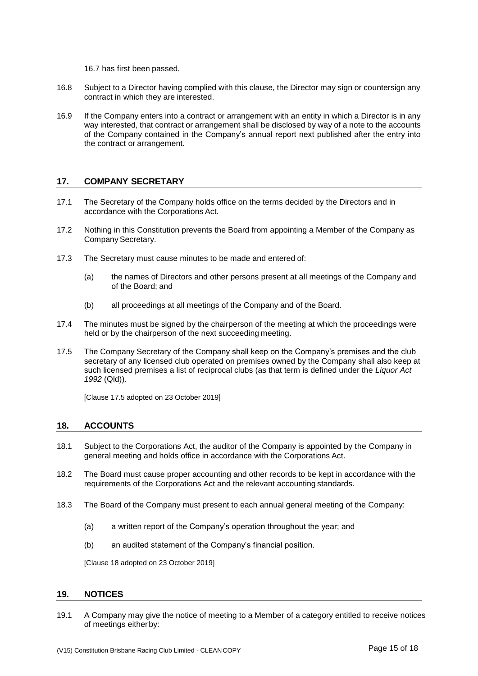[16.7](#page-13-3) has first been passed.

- 16.8 Subject to a Director having complied with this clause, the Director may sign or countersign any contract in which they are interested.
- 16.9 If the Company enters into a contract or arrangement with an entity in which a Director is in any way interested, that contract or arrangement shall be disclosed by way of a note to the accounts of the Company contained in the Company's annual report next published after the entry into the contract or arrangement.

# <span id="page-14-0"></span>**17. COMPANY SECRETARY**

- 17.1 The Secretary of the Company holds office on the terms decided by the Directors and in accordance with the Corporations Act.
- 17.2 Nothing in this Constitution prevents the Board from appointing a Member of the Company as Company Secretary.
- 17.3 The Secretary must cause minutes to be made and entered of:
	- (a) the names of Directors and other persons present at all meetings of the Company and of the Board; and
	- (b) all proceedings at all meetings of the Company and of the Board.
- 17.4 The minutes must be signed by the chairperson of the meeting at which the proceedings were held or by the chairperson of the next succeeding meeting.
- 17.5 The Company Secretary of the Company shall keep on the Company's premises and the club secretary of any licensed club operated on premises owned by the Company shall also keep at such licensed premises a list of reciprocal clubs (as that term is defined under the *Liquor Act 1992* (Qld)).

[Clause 17.5 adopted on 23 October 2019]

#### <span id="page-14-1"></span>**18. ACCOUNTS**

- 18.1 Subject to the Corporations Act, the auditor of the Company is appointed by the Company in general meeting and holds office in accordance with the Corporations Act.
- 18.2 The Board must cause proper accounting and other records to be kept in accordance with the requirements of the Corporations Act and the relevant accounting standards.
- 18.3 The Board of the Company must present to each annual general meeting of the Company:
	- (a) a written report of the Company's operation throughout the year; and
	- (b) an audited statement of the Company's financial position.

[Clause 18 adopted on 23 October 2019]

#### <span id="page-14-2"></span>**19. NOTICES**

<span id="page-14-3"></span>19.1 A Company may give the notice of meeting to a Member of a category entitled to receive notices of meetings eitherby: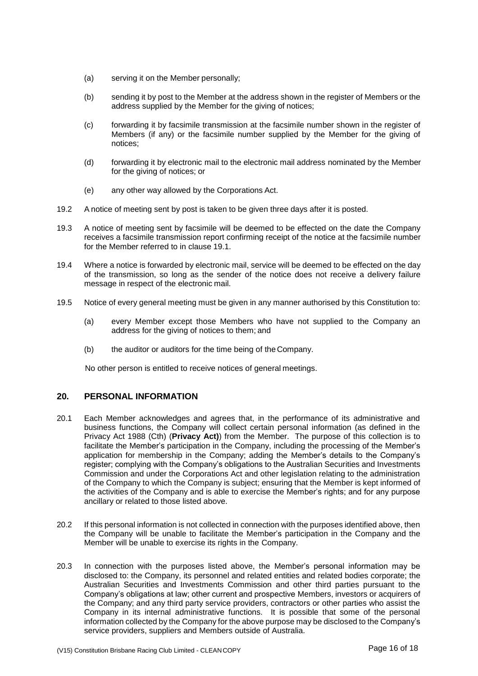- (a) serving it on the Member personally;
- (b) sending it by post to the Member at the address shown in the register of Members or the address supplied by the Member for the giving of notices;
- (c) forwarding it by facsimile transmission at the facsimile number shown in the register of Members (if any) or the facsimile number supplied by the Member for the giving of notices;
- (d) forwarding it by electronic mail to the electronic mail address nominated by the Member for the giving of notices; or
- (e) any other way allowed by the Corporations Act.
- 19.2 A notice of meeting sent by post is taken to be given three days after it is posted.
- 19.3 A notice of meeting sent by facsimile will be deemed to be effected on the date the Company receives a facsimile transmission report confirming receipt of the notice at the facsimile number for the Member referred to in clause [19.1.](#page-14-3)
- 19.4 Where a notice is forwarded by electronic mail, service will be deemed to be effected on the day of the transmission, so long as the sender of the notice does not receive a delivery failure message in respect of the electronic mail.
- 19.5 Notice of every general meeting must be given in any manner authorised by this Constitution to:
	- (a) every Member except those Members who have not supplied to the Company an address for the giving of notices to them; and
	- (b) the auditor or auditors for the time being of the Company.

No other person is entitled to receive notices of general meetings.

# <span id="page-15-0"></span>**20. PERSONAL INFORMATION**

- 20.1 Each Member acknowledges and agrees that, in the performance of its administrative and business functions, the Company will collect certain personal information (as defined in the Privacy Act 1988 (Cth) (**Privacy Act)**) from the Member. The purpose of this collection is to facilitate the Member's participation in the Company, including the processing of the Member's application for membership in the Company; adding the Member's details to the Company's register; complying with the Company's obligations to the Australian Securities and Investments Commission and under the Corporations Act and other legislation relating to the administration of the Company to which the Company is subject; ensuring that the Member is kept informed of the activities of the Company and is able to exercise the Member's rights; and for any purpose ancillary or related to those listed above.
- 20.2 If this personal information is not collected in connection with the purposes identified above, then the Company will be unable to facilitate the Member's participation in the Company and the Member will be unable to exercise its rights in the Company.
- 20.3 In connection with the purposes listed above, the Member's personal information may be disclosed to: the Company, its personnel and related entities and related bodies corporate; the Australian Securities and Investments Commission and other third parties pursuant to the Company's obligations at law; other current and prospective Members, investors or acquirers of the Company; and any third party service providers, contractors or other parties who assist the Company in its internal administrative functions. It is possible that some of the personal information collected by the Company for the above purpose may be disclosed to the Company's service providers, suppliers and Members outside of Australia.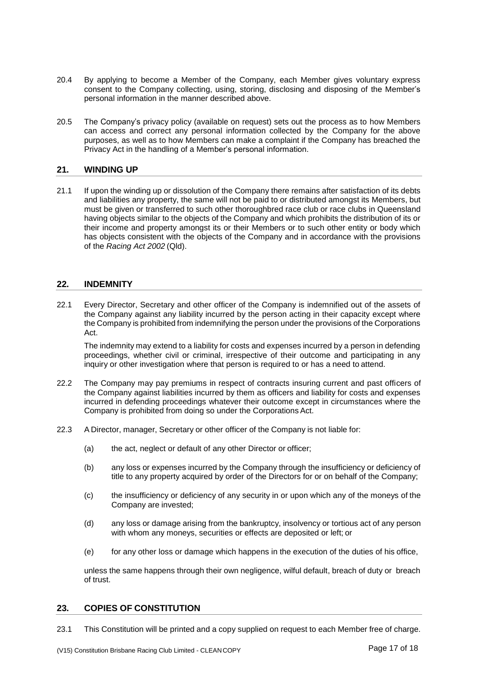- 20.4 By applying to become a Member of the Company, each Member gives voluntary express consent to the Company collecting, using, storing, disclosing and disposing of the Member's personal information in the manner described above.
- 20.5 The Company's privacy policy (available on request) sets out the process as to how Members can access and correct any personal information collected by the Company for the above purposes, as well as to how Members can make a complaint if the Company has breached the Privacy Act in the handling of a Member's personal information.

# <span id="page-16-0"></span>**21. WINDING UP**

21.1 If upon the winding up or dissolution of the Company there remains after satisfaction of its debts and liabilities any property, the same will not be paid to or distributed amongst its Members, but must be given or transferred to such other thoroughbred race club or race clubs in Queensland having objects similar to the objects of the Company and which prohibits the distribution of its or their income and property amongst its or their Members or to such other entity or body which has objects consistent with the objects of the Company and in accordance with the provisions of the *Racing Act 2002* (Qld).

# <span id="page-16-1"></span>**22. INDEMNITY**

22.1 Every Director, Secretary and other officer of the Company is indemnified out of the assets of the Company against any liability incurred by the person acting in their capacity except where the Company is prohibited from indemnifying the person under the provisions of the Corporations Act.

The indemnity may extend to a liability for costs and expenses incurred by a person in defending proceedings, whether civil or criminal, irrespective of their outcome and participating in any inquiry or other investigation where that person is required to or has a need to attend.

- 22.2 The Company may pay premiums in respect of contracts insuring current and past officers of the Company against liabilities incurred by them as officers and liability for costs and expenses incurred in defending proceedings whatever their outcome except in circumstances where the Company is prohibited from doing so under the Corporations Act.
- 22.3 A Director, manager, Secretary or other officer of the Company is not liable for:
	- (a) the act, neglect or default of any other Director or officer;
	- (b) any loss or expenses incurred by the Company through the insufficiency or deficiency of title to any property acquired by order of the Directors for or on behalf of the Company;
	- (c) the insufficiency or deficiency of any security in or upon which any of the moneys of the Company are invested;
	- (d) any loss or damage arising from the bankruptcy, insolvency or tortious act of any person with whom any moneys, securities or effects are deposited or left; or
	- (e) for any other loss or damage which happens in the execution of the duties of his office,

unless the same happens through their own negligence, wilful default, breach of duty or breach of trust.

#### <span id="page-16-2"></span>**23. COPIES OF CONSTITUTION**

23.1 This Constitution will be printed and a copy supplied on request to each Member free of charge.